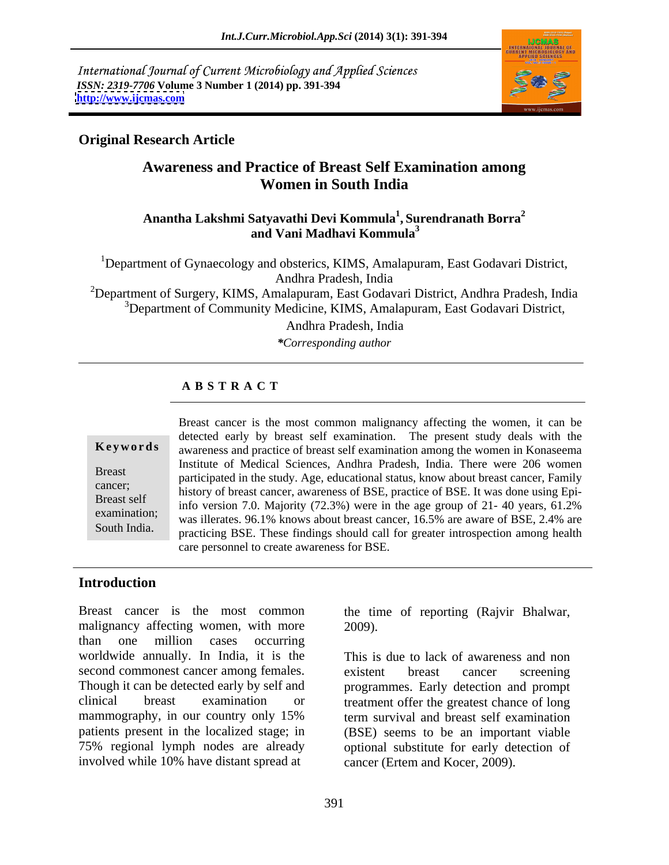International Journal of Current Microbiology and Applied Sciences *ISSN: 2319-7706* **Volume 3 Number 1 (2014) pp. 391-394 <http://www.ijcmas.com>**



## **Original Research Article**

# **Awareness and Practice of Breast Self Examination among Women in South India**

### Anantha Lakshmi Satyavathi Devi Kommula<sup>1</sup>, Surendranath Borra<sup>2</sup> **, Surendranath Borra<sup>2</sup> and Vani Madhavi Kommula<sup>3</sup>**

<sup>1</sup>Department of Gynaecology and obsterics, KIMS, Amalapuram, East Godavari District, Andhra Pradesh, India

<sup>2</sup>Department of Surgery, KIMS, Amalapuram, East Godavari District, Andhra Pradesh, India <sup>3</sup>Department of Community Medicine, KIMS, Amalapuram, East Godavari District,

Andhra Pradesh, India

*\*Corresponding author*

### **A B S T R A C T**

**Ke ywo rds** awareness and practice of breast self examination among the women in Konaseema Breast<br>
participated in the study. Age, educational status, know about breast cancer, Family participated in the staty. Age, educational status, know about orderst cancer, I all the participated in the staty. Age, educational status, know about orders cancer, I almost the process Breast self<br>
info version 7.0. Majority (72.3%) were in the age group of 21-40 years, 61.2% examination; was illerates. 96.1% knows about breast cancer, 16.5% are aware of BSE, 2.4% are Breast cancer is the most common malignancy affecting the women, it can be detected early by breast self examination. The present study deals with the awareness and practice of breast self examination among the women in Ko detected early by breast self examination. The present study deals with the Institute of Medical Sciences, Andhra Pradesh, India. There were 206 women practicing BSE. These findings should call for greater introspection among health care personnel to create awareness for BSE.

### **Introduction**

Breast cancer is the most common the time of reporting (Rajvir Bhalwar, malignancy affecting women, with more  $2009$ . than one million cases occurring worldwide annually. In India, it is the This is due to lack of awareness and non second commonest cancer among females. existent breast cancer screening Though it can be detected early by self and programmes. Early detection and prompt clinical breast examination or treatment offer the greatest chance of long mammography, in our country only 15% term survival and breast self examination patients present in the localized stage; in (BSE) seems to be an important viable 75% regional lymph nodes are already optional substitute for early detection of involved while 10% have distant spread at

the time of reporting (Rajvir Bhalwar, 2009).

existent breast cancer screening term survival and breast self examination cancer (Ertem and Kocer, 2009).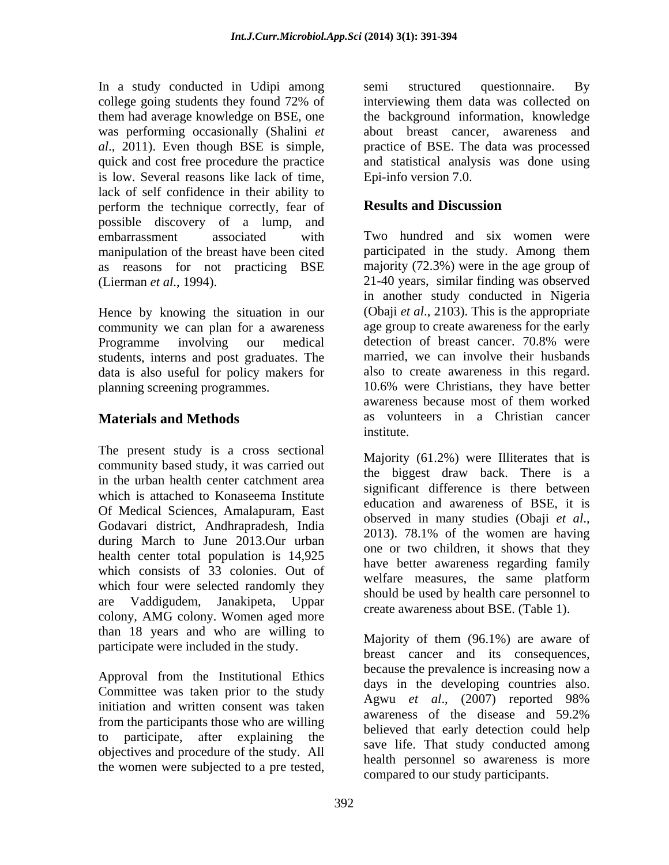In a study conducted in Udipi among semi structured questionnaire. By college going students they found 72% of them had average knowledge on BSE, one the background information, knowledge was performing occasionally (Shalini *et*  about breast cancer, awareness and *al*., 2011). Even though BSE is simple, practice of BSE. The data was processed quick and cost free procedure the practice and statistical analysis was done using is low. Several reasons like lack of time, lack of self confidence in their ability to<br>
nerform the technique correctly fear of **Results and Discussion** perform the technique correctly, fear of possible discovery of a lump, and manipulation of the breast have been cited as reasons for not practicing BSE

community we can plan for a awareness Programme involving our medical detection of breast cancer. 70.8% were students, interns and post graduates. The data is also useful for policy makers for

The present study is a cross sectional community based study, it was carried out in the urban health center catchment area which is attached to Konaseema Institute Of Medical Sciences, Amalapuram, East budgard and awareness of BBL, it is Godavari district, Andhrapradesh, India<br>2013). 78.1% of the women are having during March to June 2013.Our urban health center total population is 14,925 which consists of 33 colonies. Out of the welfare measures, the same platform which four were selected randomly they are Vaddigudem, Janakipeta, Uppar colony, AMG colony. Women aged more than 18 years and who are willing to participate were included in the study.

Approval from the Institutional Ethics Committee was taken prior to the study<br>Agwu et al.,  $(2007)$  reported 98% initiation and written consent was taken  $\frac{1}{2}$  awareness of the disease and 59.2% from the participants those who are willing to participate, after explaining the objectives and procedure of the study. All the women were subjected to a pre tested,

semi structured questionnaire. By interviewing them data was collected on Epi-info version 7.0.

# **Results and Discussion**

embarrassment associated with Two hundred and six women were (Lierman *et al.*, 1994).<br>
<sup>21-40</sup> years, similar finding was observed<br>
in another study conducted in Nigeria<br>
Hence by knowing the situation in our (Obaji *et al.*, 2103). This is the appropriate planning screening programmes. 10.6% were Christians, they have better **Materials and Methods** as volunteers in a Christian cancer participated in the study. Among them majority (72.3%) were in the age group of 21-40 years, similar finding was observed in another study conducted in Nigeria (Obaji *et al*., 2103). This is the appropriate age group to create awareness for the early detection of breast cancer. 70.8% were married, we can involve their husbands also to create awareness in this regard. awareness because most of them worked institute.

> Majority (61.2%) were Illiterates that is the biggest draw back. There is a significant difference is there between education and awareness of BSE, it is observed in many studies (Obaji *et al*., 2013). 78.1% of the women are having one or two children, it shows that they have better awareness regarding family welfare measures, the same platform should be used by health care personnel to create awareness about BSE. (Table 1).

 Majority of them (96.1%) are aware of breast cancer and its consequences, because the prevalence is increasing now a days in the developing countries also. Agwu *et al*., (2007) reported 98% awareness of the disease and 59.2% believed that early detection could help save life. That study conducted among health personnel so awareness is more compared to our study participants.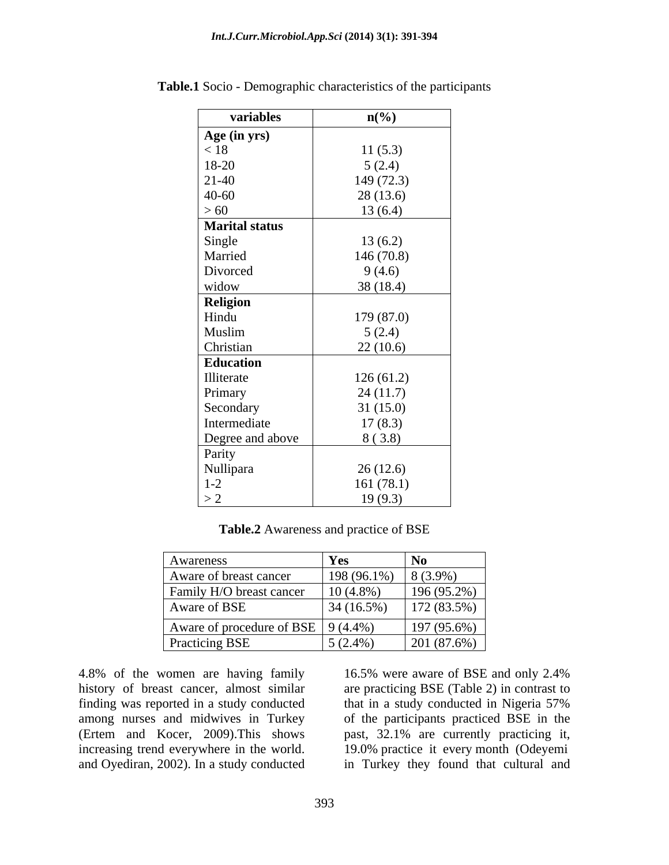| variables                                       | $n\left(\frac{0}{0}\right)$ |
|-------------------------------------------------|-----------------------------|
| Age (in yrs)<br>< 18<br>18-20                   |                             |
|                                                 | 11(5.3)                     |
|                                                 | 5(2.4)                      |
| $21-40$                                         | 149(72.3)                   |
|                                                 | 28(13.6)                    |
| $40-60$<br>> 60                                 | 13(6.4)                     |
| <b>Marital status</b>                           |                             |
|                                                 | 13(6.2)                     |
| Single<br>Married                               | 146(70.8)                   |
|                                                 | 9(4.6)                      |
| Divorced<br>widow                               | 38(18.4)                    |
|                                                 |                             |
|                                                 | 179 (87.0)                  |
|                                                 | 5(2.4)                      |
| <b>Religion</b><br>Hindu<br>Muslim<br>Christian | 22(10.6)                    |
| Education                                       |                             |
|                                                 | 126(61.2)                   |
| Illiterate<br>Primary                           | 24(11.7)                    |
| Secondary                                       | 31(15.0)                    |
| Intermediate                                    | 17(8.3)                     |
| Degree and above                                | 8(3.8)                      |
|                                                 |                             |
| Parity<br>Nullipara                             | 26(12.6)                    |
|                                                 | 161(78.1)                   |
| $\frac{1-2}{2}$                                 | 19(9.3)                     |

**Table.1** Socio - Demographic characteristics of the participants

**Table.2** Awareness and practice of BSE

| Awareness                                  | <b>Yes</b>  | N <sub>0</sub> |
|--------------------------------------------|-------------|----------------|
| Aware of breast cancer                     | 198 (96.1%) | $8(3.9\%)$     |
| <b>Family H/O breast cancer</b>            | $10(4.8\%)$ | $196(95.2\%)$  |
| Aware of BSE                               | 34 (16.5%)  | $172(83.5\%)$  |
| Aware of procedure of BSE $\vert$ 9 (4.4%) |             | 197 (95.6%)    |
| <b>Practicing BSE</b>                      | $5(2.4\%)$  | 201(87.6%)     |

4.8% of the women are having family 16.5% were aware of BSE and only 2.4% history of breast cancer, almost similar are practicing BSE (Table 2) in contrast to finding was reported in a study conducted<br>among nurses and midwives in Turkey of the participants practiced BSE in the (Ertem and Kocer, 2009). This shows past, 32.1% are currently practicing it, increasing trend everywhere in the world. 19.0% practice it every month (Odeyemi and Oyediran, 2002). In a study conducted in Turkey they found that cultural and

history of breast cancer, almost similar are practicing BSE (Table 2) in contrast to among nurses and midwives in Turkey of the participants practiced BSE in the 4.8% of the women are having family<br>history of breast cancer, almost similar finding was reported in a study conducted<br>finding was reported in a study conducted<br>among nurses and midwives in Turkey of the participants pract that in a study conducted in Nigeria 57% past, 32.1% are currently practicing it,19.0% practice it every month (Odeyemi